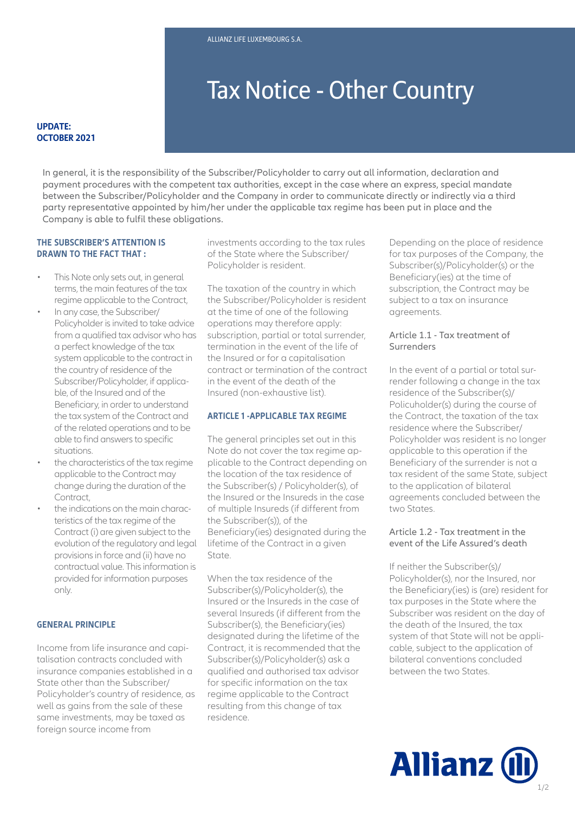# Tax Notice - Other Country

#### **UPDATE: OCTOBER 2021**

In general, it is the responsibility of the Subscriber/Policyholder to carry out all information, declaration and payment procedures with the competent tax authorities, except in the case where an express, special mandate between the Subscriber/Policyholder and the Company in order to communicate directly or indirectly via a third party representative appointed by him/her under the applicable tax regime has been put in place and the Company is able to fulfil these obligations.

# **THE SUBSCRIBER'S ATTENTION IS DRAWN TO THE FACT THAT :**

- This Note only sets out, in general terms, the main features of the tax regime applicable to the Contract,
- In any case, the Subscriber/ Policyholder is invited to take advice from a qualified tax advisor who has a perfect knowledge of the tax system applicable to the contract in the country of residence of the Subscriber/Policyholder, if applicable, of the Insured and of the Beneficiary, in order to understand the tax system of the Contract and of the related operations and to be able to find answers to specific situations.
- the characteristics of the tax regime applicable to the Contract may change during the duration of the Contract
- the indications on the main characteristics of the tax regime of the Contract (i) are given subject to the evolution of the regulatory and legal provisions in force and (ii) have no contractual value. This information is provided for information purposes only.

#### **GENERAL PRINCIPLE**

Income from life insurance and capitalisation contracts concluded with insurance companies established in a State other than the Subscriber/ Policyholder's country of residence, as well as gains from the sale of these same investments, may be taxed as foreign source income from

investments according to the tax rules of the State where the Subscriber/ Policyholder is resident.

The taxation of the country in which the Subscriber/Policyholder is resident at the time of one of the following operations may therefore apply: subscription, partial or total surrender, termination in the event of the life of the Insured or for a capitalisation contract or termination of the contract in the event of the death of the Insured (non-exhaustive list).

## **ARTICLE 1 -APPLICABLE TAX REGIME**

lifetime of the Contract in a given<br>State. The general principles set out in this Note do not cover the tax regime applicable to the Contract depending on the location of the tax residence of the Subscriber(s) / Policyholder(s), of the Insured or the Insureds in the case of multiple Insureds (if different from the Subscriber(s)), of the Beneficiary(ies) designated during the State.

When the tax residence of the Subscriber(s)/Policyholder(s), the Insured or the Insureds in the case of several Insureds (if different from the Subscriber(s), the Beneficiary(ies) designated during the lifetime of the Contract, it is recommended that the Subscriber(s)/Policyholder(s) ask a qualified and authorised tax advisor for specific information on the tax regime applicable to the Contract resulting from this change of tax residence.

Depending on the place of residence for tax purposes of the Company, the Subscriber(s)/Policyholder(s) or the Beneficiary(ies) at the time of subscription, the Contract may be subject to a tax on insurance agreements.

## Article 1.1 - Tax treatment of Surrenders

In the event of a partial or total surrender following a change in the tax residence of the Subscriber(s)/ Policuholder(s) during the course of the Contract, the taxation of the tax residence where the Subscriber/ Policyholder was resident is no longer applicable to this operation if the Beneficiary of the surrender is not a tax resident of the same State, subject to the application of bilateral agreements concluded between the two States.

#### Article 1.2 - Tax treatment in the event of the Life Assured's death

If neither the Subscriber(s)/ Policyholder(s), nor the Insured, nor the Beneficiary(ies) is (are) resident for tax purposes in the State where the Subscriber was resident on the day of the death of the Insured, the tax system of that State will not be applicable, subject to the application of bilateral conventions concluded between the two States.